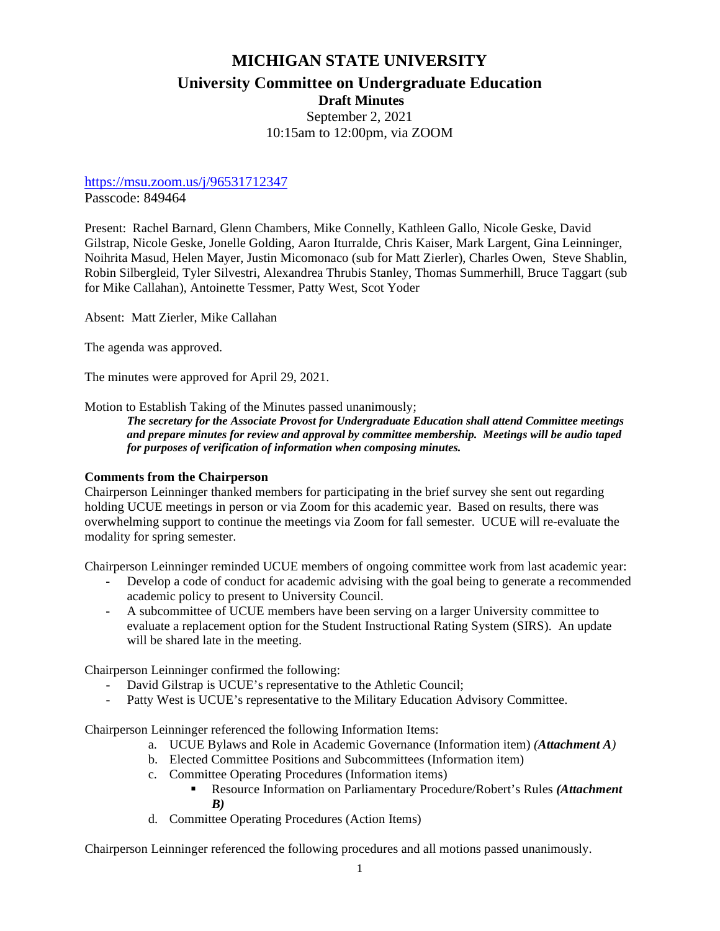# **MICHIGAN STATE UNIVERSITY University Committee on Undergraduate Education Draft Minutes**

September 2, 2021 10:15am to 12:00pm, via ZOOM

## <https://msu.zoom.us/j/96531712347>

Passcode: 849464

Present: Rachel Barnard, Glenn Chambers, Mike Connelly, Kathleen Gallo, Nicole Geske, David Gilstrap, Nicole Geske, Jonelle Golding, Aaron Iturralde, Chris Kaiser, Mark Largent, Gina Leinninger, Noihrita Masud, Helen Mayer, Justin Micomonaco (sub for Matt Zierler), Charles Owen, Steve Shablin, Robin Silbergleid, Tyler Silvestri, Alexandrea Thrubis Stanley, Thomas Summerhill, Bruce Taggart (sub for Mike Callahan), Antoinette Tessmer, Patty West, Scot Yoder

Absent: Matt Zierler, Mike Callahan

The agenda was approved.

The minutes were approved for April 29, 2021.

Motion to Establish Taking of the Minutes passed unanimously;

*The secretary for the Associate Provost for Undergraduate Education shall attend Committee meetings and prepare minutes for review and approval by committee membership. Meetings will be audio taped for purposes of verification of information when composing minutes.*

### **Comments from the Chairperson**

Chairperson Leinninger thanked members for participating in the brief survey she sent out regarding holding UCUE meetings in person or via Zoom for this academic year. Based on results, there was overwhelming support to continue the meetings via Zoom for fall semester. UCUE will re-evaluate the modality for spring semester.

Chairperson Leinninger reminded UCUE members of ongoing committee work from last academic year:

- Develop a code of conduct for academic advising with the goal being to generate a recommended academic policy to present to University Council.
- A subcommittee of UCUE members have been serving on a larger University committee to evaluate a replacement option for the Student Instructional Rating System (SIRS). An update will be shared late in the meeting.

Chairperson Leinninger confirmed the following:

- David Gilstrap is UCUE's representative to the Athletic Council;
- Patty West is UCUE's representative to the Military Education Advisory Committee.

Chairperson Leinninger referenced the following Information Items:

- a. UCUE Bylaws and Role in Academic Governance (Information item) *(Attachment A)*
- b. Elected Committee Positions and Subcommittees (Information item)
- c. Committee Operating Procedures (Information items)
	- Resource Information on Parliamentary Procedure/Robert's Rules *(Attachment B)*
- d. Committee Operating Procedures (Action Items)

Chairperson Leinninger referenced the following procedures and all motions passed unanimously.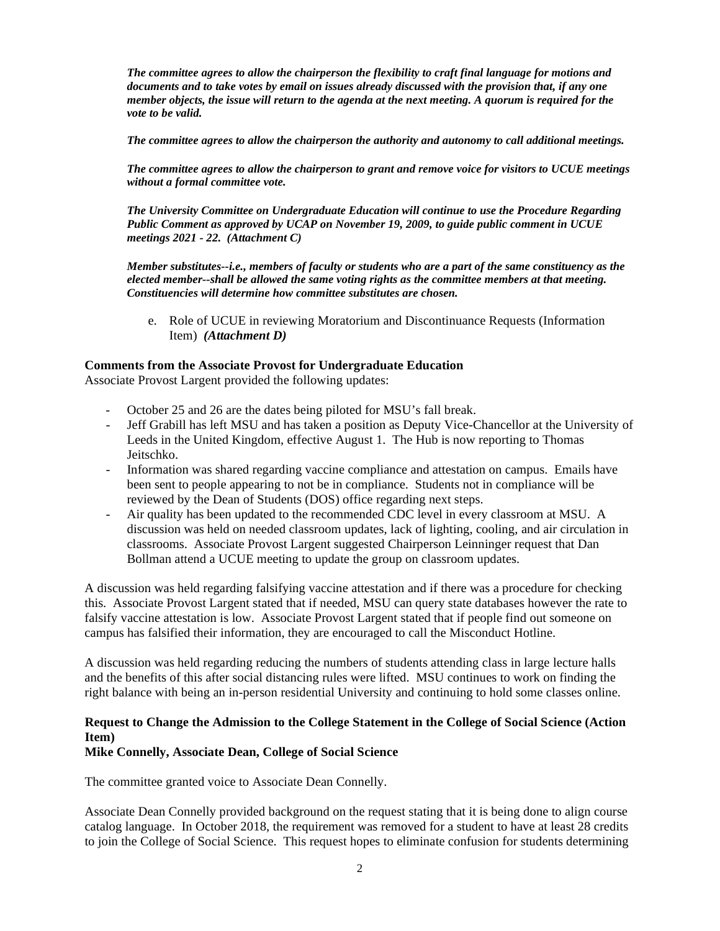*The committee agrees to allow the chairperson the flexibility to craft final language for motions and documents and to take votes by email on issues already discussed with the provision that, if any one member objects, the issue will return to the agenda at the next meeting. A quorum is required for the vote to be valid.*

*The committee agrees to allow the chairperson the authority and autonomy to call additional meetings.*

*The committee agrees to allow the chairperson to grant and remove voice for visitors to UCUE meetings without a formal committee vote.*

*The University Committee on Undergraduate Education will continue to use the Procedure Regarding Public Comment as approved by UCAP on November 19, 2009, to guide public comment in UCUE meetings 2021 - 22. (Attachment C)*

*Member substitutes--i.e., members of faculty or students who are a part of the same constituency as the elected member--shall be allowed the same voting rights as the committee members at that meeting. Constituencies will determine how committee substitutes are chosen.*

e. Role of UCUE in reviewing Moratorium and Discontinuance Requests (Information Item) *(Attachment D)*

#### **Comments from the Associate Provost for Undergraduate Education**

Associate Provost Largent provided the following updates:

- October 25 and 26 are the dates being piloted for MSU's fall break.
- Jeff Grabill has left MSU and has taken a position as Deputy Vice-Chancellor at the University of Leeds in the United Kingdom, effective August 1. The Hub is now reporting to Thomas Jeitschko.
- Information was shared regarding vaccine compliance and attestation on campus. Emails have been sent to people appearing to not be in compliance. Students not in compliance will be reviewed by the Dean of Students (DOS) office regarding next steps.
- Air quality has been updated to the recommended CDC level in every classroom at MSU. A discussion was held on needed classroom updates, lack of lighting, cooling, and air circulation in classrooms. Associate Provost Largent suggested Chairperson Leinninger request that Dan Bollman attend a UCUE meeting to update the group on classroom updates.

A discussion was held regarding falsifying vaccine attestation and if there was a procedure for checking this. Associate Provost Largent stated that if needed, MSU can query state databases however the rate to falsify vaccine attestation is low. Associate Provost Largent stated that if people find out someone on campus has falsified their information, they are encouraged to call the Misconduct Hotline.

A discussion was held regarding reducing the numbers of students attending class in large lecture halls and the benefits of this after social distancing rules were lifted. MSU continues to work on finding the right balance with being an in-person residential University and continuing to hold some classes online.

## **Request to Change the Admission to the College Statement in the College of Social Science (Action Item)**

#### **Mike Connelly, Associate Dean, College of Social Science**

The committee granted voice to Associate Dean Connelly.

Associate Dean Connelly provided background on the request stating that it is being done to align course catalog language. In October 2018, the requirement was removed for a student to have at least 28 credits to join the College of Social Science. This request hopes to eliminate confusion for students determining